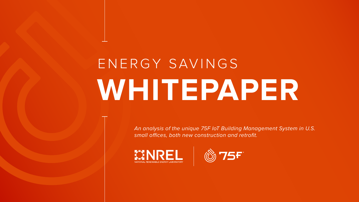*An analysis of the unique 75F IoT Building Management System in U.S. small offices, both new construction and retrofit.*







# ENERGY SAVINGS **WHITEPAPER**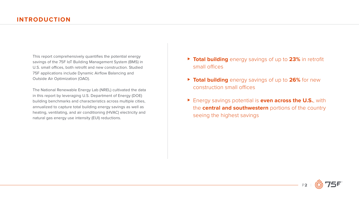P**2** |

This report comprehensively quantifies the potential energy savings of the 75F IoT Building Management System (BMS) in U.S. small offices, both retrofit and new construction. Studied 75F applications include Dynamic Airflow Balancing and Outside Air Optimization (OAO).

The National Renewable Energy Lab (NREL) cultivated the data in this report by leveraging U.S. Department of Energy (DOE) building benchmarks and characteristics across multiple cities, annualized to capture total building energy savings as well as heating, ventilating, and air conditioning (HVAC) electricity and natural gas energy use intensity (EUI) reductions.

- ⊲ **Total building** energy savings of up to **23%** in retrofit small offices
- ▶ Total building energy savings of up to 26% for new construction small offices
- ► Energy savings potential is **even across the U.S.**, with the **central and southwestern** portions of the country seeing the highest savings

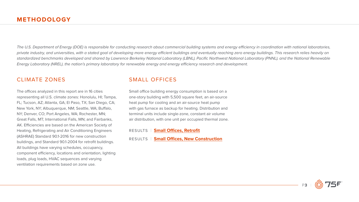

*The U.S. Department of Energy (DOE) is responsible for conducting research about commercial building systems and energy efficiency in coordination with national laboratories, private industry, and universities, with a stated goal of developing more energy efficient buildings and eventually reaching zero energy buildings. This research relies heavily on standardized benchmarks developed and shared by Lawrence Berkeley National Laboratory (LBNL), Pacific Northwest National Laboratory (PNNL), and the National Renewable Energy Laboratory (NREL), the nation's primary laboratory for renewable energy and energy efficiency research and development.* 

### CLIMATE ZONES

The offices analyzed in this report are in 16 cities representing all U.S. climate zones: Honolulu, HI; Tampa, FL; Tucson, AZ; Atlanta, GA; El Paso, TX; San Diego, CA; New York, NY; Albuquerque, NM; Seattle, WA; Buffalo, NY; Denver, CO; Port Angeles, WA; Rochester, MN; Great Falls, MT; International Falls, MN; and Fairbanks, AK. Efficiencies are based on the American Society of Heating, Refrigerating and Air Conditioning Engineers (ASHRAE) Standard 90.1-2016 for new construction buildings, and Standard 90.1-2004 for retrofit buildings. All buildings have varying schedules, occupancy, component efficiency, locations and orientation, lighting loads, plug loads, HVAC sequences and varying ventilation requirements based on zone use.

## SMALL OFFICES

Small office building energy consumption is based on a one-story building with 5,500 square feet, an air-source heat pump for cooling and an air-source heat pump with gas furnace as backup for heating. Distribution and terminal units include single-zone, constant air volume air distribution, with one unit per occupied thermal zone.

RESULTS | **Small Office[s, Retrofit](#page-5-0)**

RESULTS | **Small Offices, New Construction**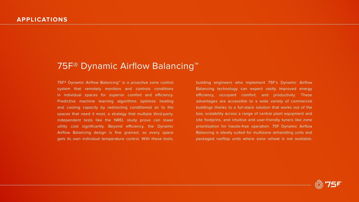# 75F<sup>®</sup> Dynamic Airflow Balancing<sup>™</sup>

75F® Dynamic Airflow Balancing™ is a proactive zone control system that remotely monitors and controls conditions in individual spaces for superior comfort and efficiency. Predictive machine learning algorithms optimize heating and cooling capacity by redirecting conditioned air to the spaces that need it most, a strategy that multiple third-party, independent tests like the NREL study prove can lower utility cost significantly. Beyond efficiency, the Dynamic Airflow Balancing design is fine grained, so every space gets its own individual temperature control. With these tools,

building engineers who implement 75F's Dynamic Airflow Balancing technology can expect vastly improved energy efficiency, occupant comfort, and productivity. These advantages are accessible to a wide variety of commercial buildings thanks to a full-stack solution that works out of the box, scalability across a range of central plant equipment and site footprins, and intuitive and user-friendly tuners like zone prioritization for hassle-free operation. 75F Dynamic Airflow Balancing is ideally suited for multizone airhandling units and packaged rooftop units where zone reheat is not available.

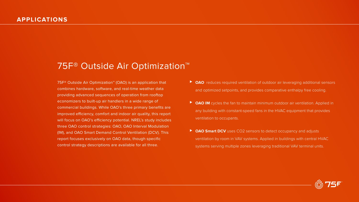75F® Outside Air Optimization™ (OAO) is an application that combines hardware, software, and real-time weather data providing advanced sequences of operation from rooftop economizers to built-up air handlers in a wide range of commercial buildings. While OAO's three primary benefits are improved efficiency, comfort and indoor air quality, this report will focus on OAO's efficiency potential. NREL's study includes three OAO control strategies: OAO, OAO Interval Modulation (IM), and OAO Smart Demand Control Ventilation (DCV). This report focuses exclusively on OAO data, though specific control strategy descriptions are available for all three.

- ► OAO reduces required ventilation of outdoor air leveraging additional sensors and optimized setpoints, and provides comparative enthalpy free cooling.
- ► OAO IM cycles the fan to maintain minimum outdoor air ventilation. Applied in any building with constant-speed fans in the HVAC equipment that provides ventilation to occupants.
- ► OAO Smart DCV uses CO2 sensors to detect occupancy and adjusts ventilation by room in VAV systems. Applied in buildings with central HVAC systems serving multiple zones leveraging traditional VAV terminal units.



# 75F<sup>®</sup> Outside Air Optimization<sup>™</sup>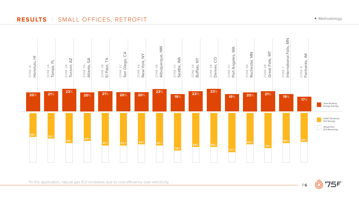

<span id="page-5-0"></span>**RESULTS** | SMALL OFFICES, RETROFIT





\*In this application, natural gas EUI increases due to cost efficiency over electricity.

◆ Methodology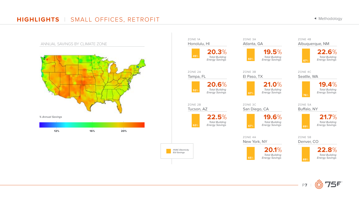# **HIGHLIGHTS** | SMALL OFFICES, RETROFIT



ZONE 1A *Total Building Energy Savings*  **20.3**% ZONE 3A Atlanta, GA *Total Building* **60**% *Energy Savings*  **19.5**% *Total Building Energy Savings*  **20.6**% ZONE 3B El Paso, TX *Total Building Energy Savings* **67**% **21.0**% *Total Building*  **63**% *Energy Savings*  **22.5**% ZONE 3C San Diego, CA *Total Building Energy Savings* **67**% **19.6**% ZONE 4A New York, NY *Total Building*  **65**% *Energy Savings*  **20.1**%

◆ Methodology

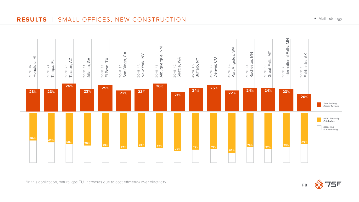

# **RESULTS** | SMALL OFFICES, NEW CONSTRUCTION





\*In this application, natural gas EUI increases due to cost efficiency over electricity.

◆ Methodology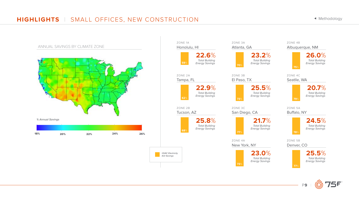

# **HIGHLIGHTS** | SMALL OFFICES, NEW CONSTRUCTION

### ZONE 4B Albuquerque, NM



**75**%

ZONE 4C Seatlle, WA



**79**%



◆ Methodology

ZONE 5A Buffalo, NY



ZONE 5B Denver, CO